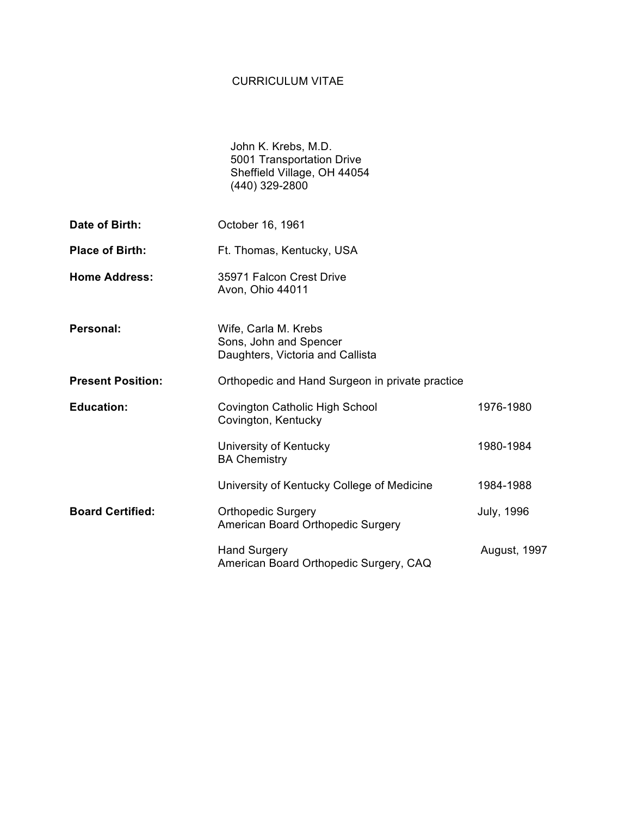## CURRICULUM VITAE

|                          | John K. Krebs, M.D.<br>5001 Transportation Drive<br>Sheffield Village, OH 44054<br>(440) 329-2800 |                   |
|--------------------------|---------------------------------------------------------------------------------------------------|-------------------|
| Date of Birth:           | October 16, 1961                                                                                  |                   |
| <b>Place of Birth:</b>   | Ft. Thomas, Kentucky, USA                                                                         |                   |
| <b>Home Address:</b>     | 35971 Falcon Crest Drive<br>Avon, Ohio 44011                                                      |                   |
| Personal:                | Wife, Carla M. Krebs<br>Sons, John and Spencer<br>Daughters, Victoria and Callista                |                   |
| <b>Present Position:</b> | Orthopedic and Hand Surgeon in private practice                                                   |                   |
| <b>Education:</b>        | <b>Covington Catholic High School</b><br>Covington, Kentucky                                      | 1976-1980         |
|                          | University of Kentucky<br><b>BA Chemistry</b>                                                     | 1980-1984         |
|                          | University of Kentucky College of Medicine                                                        | 1984-1988         |
| <b>Board Certified:</b>  | <b>Orthopedic Surgery</b><br>American Board Orthopedic Surgery                                    | <b>July, 1996</b> |
|                          | <b>Hand Surgery</b><br>American Board Orthopedic Surgery, CAQ                                     | August, 1997      |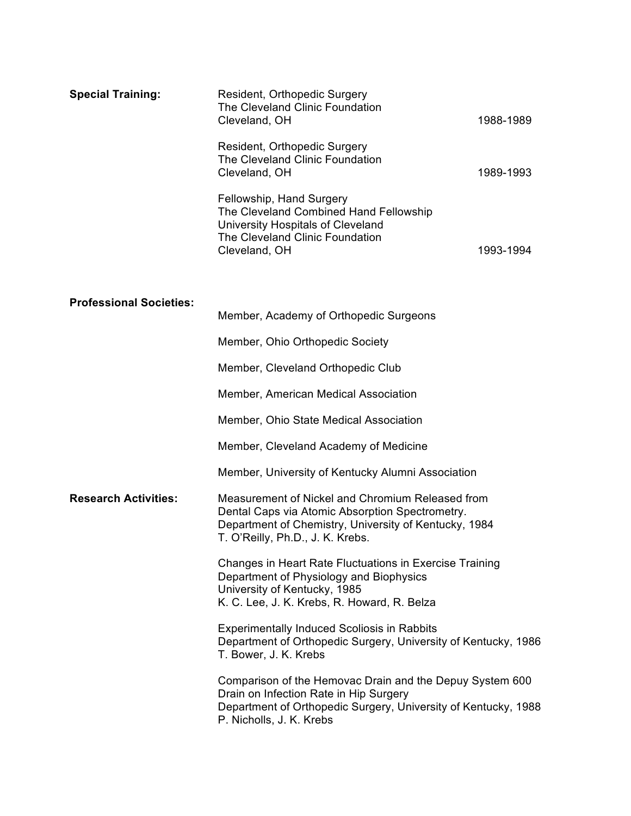| <b>Special Training:</b>       | Resident, Orthopedic Surgery<br>The Cleveland Clinic Foundation<br>Cleveland, OH                                                                                                                 | 1988-1989 |  |
|--------------------------------|--------------------------------------------------------------------------------------------------------------------------------------------------------------------------------------------------|-----------|--|
|                                | Resident, Orthopedic Surgery<br>The Cleveland Clinic Foundation<br>Cleveland, OH                                                                                                                 | 1989-1993 |  |
|                                | Fellowship, Hand Surgery<br>The Cleveland Combined Hand Fellowship<br>University Hospitals of Cleveland<br>The Cleveland Clinic Foundation<br>Cleveland, OH                                      | 1993-1994 |  |
| <b>Professional Societies:</b> |                                                                                                                                                                                                  |           |  |
|                                | Member, Academy of Orthopedic Surgeons                                                                                                                                                           |           |  |
|                                | Member, Ohio Orthopedic Society                                                                                                                                                                  |           |  |
|                                | Member, Cleveland Orthopedic Club                                                                                                                                                                |           |  |
|                                | Member, American Medical Association                                                                                                                                                             |           |  |
|                                | Member, Ohio State Medical Association                                                                                                                                                           |           |  |
|                                | Member, Cleveland Academy of Medicine                                                                                                                                                            |           |  |
|                                | Member, University of Kentucky Alumni Association                                                                                                                                                |           |  |
| <b>Research Activities:</b>    | Measurement of Nickel and Chromium Released from<br>Dental Caps via Atomic Absorption Spectrometry.<br>Department of Chemistry, University of Kentucky, 1984<br>T. O'Reilly, Ph.D., J. K. Krebs. |           |  |
|                                | Changes in Heart Rate Fluctuations in Exercise Training<br>Department of Physiology and Biophysics<br>University of Kentucky, 1985<br>K. C. Lee, J. K. Krebs, R. Howard, R. Belza                |           |  |
|                                | <b>Experimentally Induced Scoliosis in Rabbits</b><br>Department of Orthopedic Surgery, University of Kentucky, 1986<br>T. Bower, J. K. Krebs                                                    |           |  |
|                                | Comparison of the Hemovac Drain and the Depuy System 600<br>Drain on Infection Rate in Hip Surgery<br>Department of Orthopedic Surgery, University of Kentucky, 1988<br>P. Nicholls, J. K. Krebs |           |  |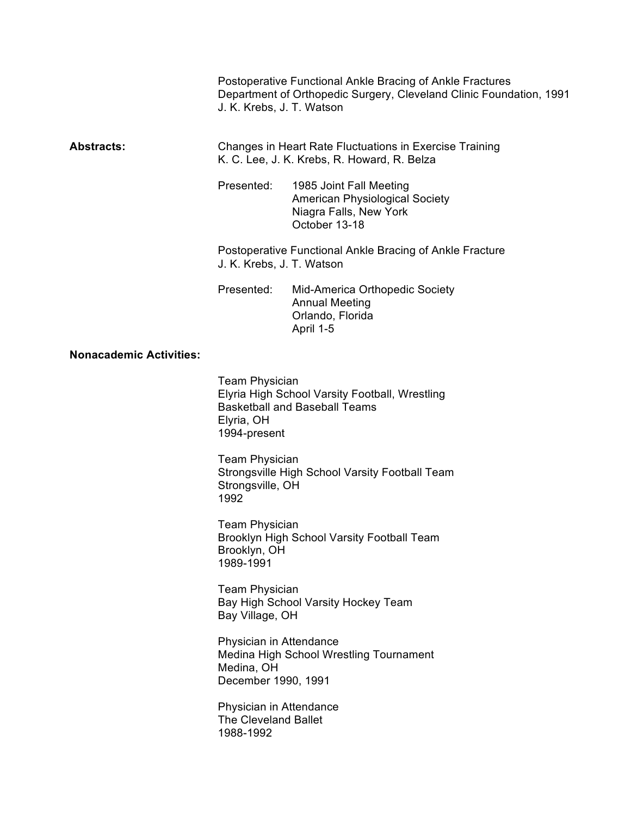Postoperative Functional Ankle Bracing of Ankle Fractures Department of Orthopedic Surgery, Cleveland Clinic Foundation, 1991 J. K. Krebs, J. T. Watson

## **Abstracts:** Changes in Heart Rate Fluctuations in Exercise Training K. C. Lee, J. K. Krebs, R. Howard, R. Belza

Presented: 1985 Joint Fall Meeting American Physiological Society Niagra Falls, New York October 13-18

Postoperative Functional Ankle Bracing of Ankle Fracture J. K. Krebs, J. T. Watson

Presented: Mid-America Orthopedic Society Annual Meeting Orlando, Florida April 1-5

## **Nonacademic Activities:**

Team Physician Elyria High School Varsity Football, Wrestling Basketball and Baseball Teams Elyria, OH 1994-present

Team Physician Strongsville High School Varsity Football Team Strongsville, OH 1992

Team Physician Brooklyn High School Varsity Football Team Brooklyn, OH 1989-1991

Team Physician Bay High School Varsity Hockey Team Bay Village, OH

Physician in Attendance Medina High School Wrestling Tournament Medina, OH December 1990, 1991

Physician in Attendance The Cleveland Ballet 1988-1992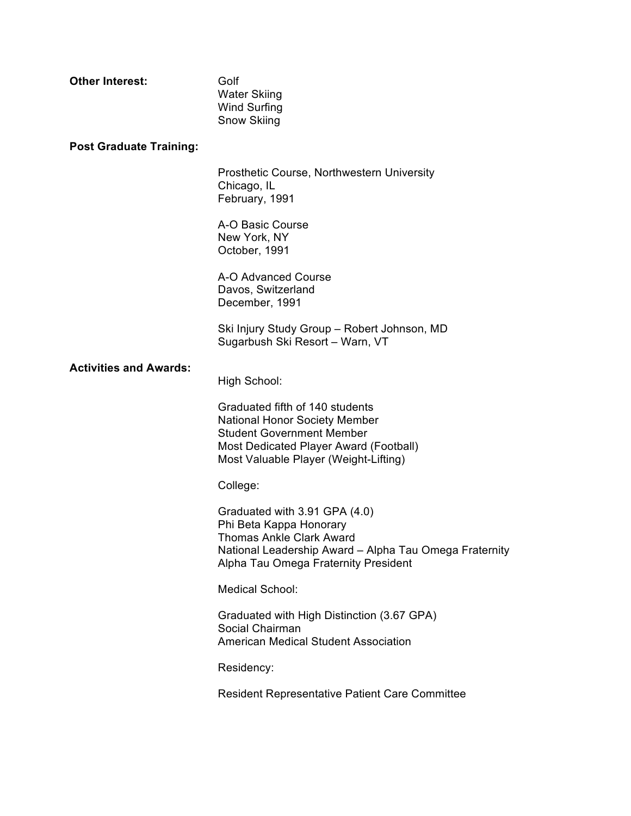| <b>Other Interest:</b>         | Golf<br><b>Water Skiing</b><br><b>Wind Surfing</b><br>Snow Skiing                                                                                                                              |
|--------------------------------|------------------------------------------------------------------------------------------------------------------------------------------------------------------------------------------------|
| <b>Post Graduate Training:</b> |                                                                                                                                                                                                |
|                                | Prosthetic Course, Northwestern University<br>Chicago, IL<br>February, 1991                                                                                                                    |
|                                | A-O Basic Course<br>New York, NY<br>October, 1991                                                                                                                                              |
|                                | A-O Advanced Course<br>Davos, Switzerland<br>December, 1991                                                                                                                                    |
|                                | Ski Injury Study Group - Robert Johnson, MD<br>Sugarbush Ski Resort - Warn, VT                                                                                                                 |
| <b>Activities and Awards:</b>  | High School:                                                                                                                                                                                   |
|                                | Graduated fifth of 140 students<br><b>National Honor Society Member</b><br><b>Student Government Member</b><br>Most Dedicated Player Award (Football)<br>Most Valuable Player (Weight-Lifting) |
|                                | College:                                                                                                                                                                                       |
|                                | Graduated with 3.91 GPA (4.0)<br>Phi Beta Kappa Honorary<br><b>Thomas Ankle Clark Award</b><br>National Leadership Award - Alpha Tau Omega Fraternity<br>Alpha Tau Omega Fraternity President  |
|                                | <b>Medical School:</b>                                                                                                                                                                         |
|                                | Graduated with High Distinction (3.67 GPA)<br>Social Chairman<br><b>American Medical Student Association</b>                                                                                   |
|                                | Residency:                                                                                                                                                                                     |
|                                | <b>Resident Representative Patient Care Committee</b>                                                                                                                                          |